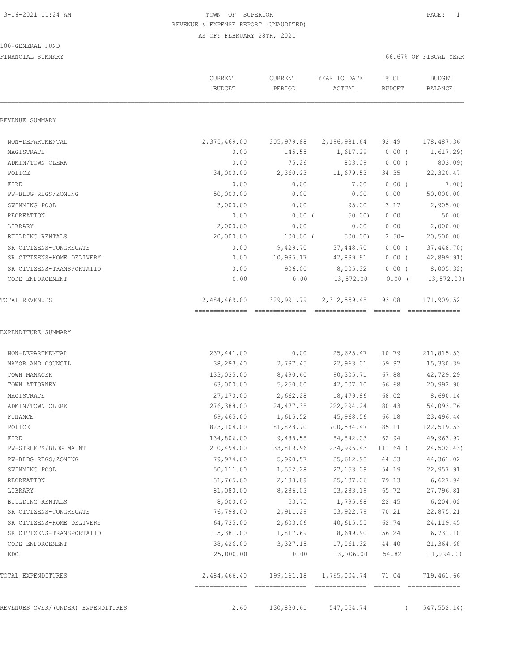#### 100-GENERAL FUND

| REVENUE SUMMARY<br>NON-DEPARTMENTAL<br>2,375,469.00<br>305,979.88<br>2,196,981.64<br>92.49<br>0.00<br>MAGISTRATE<br>145.55<br>1,617.29<br>$0.00$ (<br>0.00<br>75.26<br>803.09<br>$0.00$ (<br>ADMIN/TOWN CLERK<br>34,000.00<br>2,360.23<br>POLICE<br>11,679.53<br>34.35<br>0.00<br>0.00<br>FIRE<br>7.00<br>$0.00$ (<br>50,000.00<br>0.00<br>PW-BLDG REGS/ZONING<br>0.00<br>0.00<br>SWIMMING POOL<br>3,000.00<br>0.00<br>95.00<br>3.17<br>0.00<br>$0.00$ (<br>0.00<br>RECREATION<br>50.00<br>2,000.00<br>0.00<br>0.00<br>0.00<br>LIBRARY<br>20,000.00<br>$100.00$ (<br>$2.50 -$<br><b>BUILDING RENTALS</b><br>500.00<br>0.00<br>9,429.70<br>37,448.70<br>$0.00$ (<br>SR CITIZENS-CONGREGATE<br>10,995.17<br>42,899.91<br>$0.00$ (<br>SR CITIZENS-HOME DELIVERY<br>0.00<br>0.00<br>8,005.32<br>$0.00$ (<br>SR CITIZENS-TRANSPORTATIO<br>906.00<br>$0.00$ (<br>CODE ENFORCEMENT<br>0.00<br>0.00<br>13,572.00<br>2,484,469.00<br>329,991.79<br>2, 312, 559.48<br>TOTAL REVENUES<br>93.08<br>EXPENDITURE SUMMARY<br>237, 441.00<br>0.00<br>25,625.47<br>10.79<br>NON-DEPARTMENTAL<br>38,293.40<br>22,963.01<br>59.97<br>MAYOR AND COUNCIL<br>2,797.45<br>133,035.00<br>8,490.60<br>90,305.71<br>67.88<br>TOWN MANAGER<br>63,000.00<br>5,250.00<br>42,007.10<br>66.68<br>TOWN ATTORNEY<br>MAGISTRATE<br>27,170.00<br>2,662.28<br>18,479.86<br>68.02<br>ADMIN/TOWN CLERK<br>276,388.00<br>24, 477.38<br>222,294.24<br>80.43<br>69,465.00<br>1,615.52<br>45,968.56<br>66.18<br>FINANCE<br>81,828.70<br>700,584.47<br>85.11<br>POLICE<br>823,104.00<br>134,806.00<br>9,488.58<br>62.94<br>FIRE<br>84,842.03<br>PW-STREETS/BLDG MAINT<br>210,494.00<br>33,819.96<br>234,996.43<br>$111.64$ (<br>PW-BLDG REGS/ZONING<br>79,974.00<br>5,990.57<br>35,612.98<br>44.53<br>SWIMMING POOL<br>50,111.00<br>1,552.28<br>27, 153.09<br>54.19 | <b>BUDGET</b><br>BALANCE |
|--------------------------------------------------------------------------------------------------------------------------------------------------------------------------------------------------------------------------------------------------------------------------------------------------------------------------------------------------------------------------------------------------------------------------------------------------------------------------------------------------------------------------------------------------------------------------------------------------------------------------------------------------------------------------------------------------------------------------------------------------------------------------------------------------------------------------------------------------------------------------------------------------------------------------------------------------------------------------------------------------------------------------------------------------------------------------------------------------------------------------------------------------------------------------------------------------------------------------------------------------------------------------------------------------------------------------------------------------------------------------------------------------------------------------------------------------------------------------------------------------------------------------------------------------------------------------------------------------------------------------------------------------------------------------------------------------------------------------------------------------------------------------------------------------------------------------|--------------------------|
|                                                                                                                                                                                                                                                                                                                                                                                                                                                                                                                                                                                                                                                                                                                                                                                                                                                                                                                                                                                                                                                                                                                                                                                                                                                                                                                                                                                                                                                                                                                                                                                                                                                                                                                                                                                                                          |                          |
|                                                                                                                                                                                                                                                                                                                                                                                                                                                                                                                                                                                                                                                                                                                                                                                                                                                                                                                                                                                                                                                                                                                                                                                                                                                                                                                                                                                                                                                                                                                                                                                                                                                                                                                                                                                                                          | 178,487.36               |
|                                                                                                                                                                                                                                                                                                                                                                                                                                                                                                                                                                                                                                                                                                                                                                                                                                                                                                                                                                                                                                                                                                                                                                                                                                                                                                                                                                                                                                                                                                                                                                                                                                                                                                                                                                                                                          | 1,617.29                 |
|                                                                                                                                                                                                                                                                                                                                                                                                                                                                                                                                                                                                                                                                                                                                                                                                                                                                                                                                                                                                                                                                                                                                                                                                                                                                                                                                                                                                                                                                                                                                                                                                                                                                                                                                                                                                                          | 803.09)                  |
|                                                                                                                                                                                                                                                                                                                                                                                                                                                                                                                                                                                                                                                                                                                                                                                                                                                                                                                                                                                                                                                                                                                                                                                                                                                                                                                                                                                                                                                                                                                                                                                                                                                                                                                                                                                                                          | 22,320.47                |
|                                                                                                                                                                                                                                                                                                                                                                                                                                                                                                                                                                                                                                                                                                                                                                                                                                                                                                                                                                                                                                                                                                                                                                                                                                                                                                                                                                                                                                                                                                                                                                                                                                                                                                                                                                                                                          | 7.00)                    |
|                                                                                                                                                                                                                                                                                                                                                                                                                                                                                                                                                                                                                                                                                                                                                                                                                                                                                                                                                                                                                                                                                                                                                                                                                                                                                                                                                                                                                                                                                                                                                                                                                                                                                                                                                                                                                          | 50,000.00                |
|                                                                                                                                                                                                                                                                                                                                                                                                                                                                                                                                                                                                                                                                                                                                                                                                                                                                                                                                                                                                                                                                                                                                                                                                                                                                                                                                                                                                                                                                                                                                                                                                                                                                                                                                                                                                                          | 2,905.00                 |
|                                                                                                                                                                                                                                                                                                                                                                                                                                                                                                                                                                                                                                                                                                                                                                                                                                                                                                                                                                                                                                                                                                                                                                                                                                                                                                                                                                                                                                                                                                                                                                                                                                                                                                                                                                                                                          | 50.00                    |
|                                                                                                                                                                                                                                                                                                                                                                                                                                                                                                                                                                                                                                                                                                                                                                                                                                                                                                                                                                                                                                                                                                                                                                                                                                                                                                                                                                                                                                                                                                                                                                                                                                                                                                                                                                                                                          | 2,000.00                 |
|                                                                                                                                                                                                                                                                                                                                                                                                                                                                                                                                                                                                                                                                                                                                                                                                                                                                                                                                                                                                                                                                                                                                                                                                                                                                                                                                                                                                                                                                                                                                                                                                                                                                                                                                                                                                                          | 20,500.00                |
|                                                                                                                                                                                                                                                                                                                                                                                                                                                                                                                                                                                                                                                                                                                                                                                                                                                                                                                                                                                                                                                                                                                                                                                                                                                                                                                                                                                                                                                                                                                                                                                                                                                                                                                                                                                                                          | 37,448.70)               |
|                                                                                                                                                                                                                                                                                                                                                                                                                                                                                                                                                                                                                                                                                                                                                                                                                                                                                                                                                                                                                                                                                                                                                                                                                                                                                                                                                                                                                                                                                                                                                                                                                                                                                                                                                                                                                          | 42,899.91)               |
|                                                                                                                                                                                                                                                                                                                                                                                                                                                                                                                                                                                                                                                                                                                                                                                                                                                                                                                                                                                                                                                                                                                                                                                                                                                                                                                                                                                                                                                                                                                                                                                                                                                                                                                                                                                                                          | 8,005.32)                |
|                                                                                                                                                                                                                                                                                                                                                                                                                                                                                                                                                                                                                                                                                                                                                                                                                                                                                                                                                                                                                                                                                                                                                                                                                                                                                                                                                                                                                                                                                                                                                                                                                                                                                                                                                                                                                          | $13, 572.00$ )           |
|                                                                                                                                                                                                                                                                                                                                                                                                                                                                                                                                                                                                                                                                                                                                                                                                                                                                                                                                                                                                                                                                                                                                                                                                                                                                                                                                                                                                                                                                                                                                                                                                                                                                                                                                                                                                                          | 171,909.52               |
|                                                                                                                                                                                                                                                                                                                                                                                                                                                                                                                                                                                                                                                                                                                                                                                                                                                                                                                                                                                                                                                                                                                                                                                                                                                                                                                                                                                                                                                                                                                                                                                                                                                                                                                                                                                                                          |                          |
|                                                                                                                                                                                                                                                                                                                                                                                                                                                                                                                                                                                                                                                                                                                                                                                                                                                                                                                                                                                                                                                                                                                                                                                                                                                                                                                                                                                                                                                                                                                                                                                                                                                                                                                                                                                                                          | 211,815.53               |
|                                                                                                                                                                                                                                                                                                                                                                                                                                                                                                                                                                                                                                                                                                                                                                                                                                                                                                                                                                                                                                                                                                                                                                                                                                                                                                                                                                                                                                                                                                                                                                                                                                                                                                                                                                                                                          | 15,330.39                |
|                                                                                                                                                                                                                                                                                                                                                                                                                                                                                                                                                                                                                                                                                                                                                                                                                                                                                                                                                                                                                                                                                                                                                                                                                                                                                                                                                                                                                                                                                                                                                                                                                                                                                                                                                                                                                          | 42,729.29                |
|                                                                                                                                                                                                                                                                                                                                                                                                                                                                                                                                                                                                                                                                                                                                                                                                                                                                                                                                                                                                                                                                                                                                                                                                                                                                                                                                                                                                                                                                                                                                                                                                                                                                                                                                                                                                                          | 20,992.90                |
|                                                                                                                                                                                                                                                                                                                                                                                                                                                                                                                                                                                                                                                                                                                                                                                                                                                                                                                                                                                                                                                                                                                                                                                                                                                                                                                                                                                                                                                                                                                                                                                                                                                                                                                                                                                                                          | 8,690.14                 |
|                                                                                                                                                                                                                                                                                                                                                                                                                                                                                                                                                                                                                                                                                                                                                                                                                                                                                                                                                                                                                                                                                                                                                                                                                                                                                                                                                                                                                                                                                                                                                                                                                                                                                                                                                                                                                          | 54,093.76                |
|                                                                                                                                                                                                                                                                                                                                                                                                                                                                                                                                                                                                                                                                                                                                                                                                                                                                                                                                                                                                                                                                                                                                                                                                                                                                                                                                                                                                                                                                                                                                                                                                                                                                                                                                                                                                                          | 23,496.44                |
|                                                                                                                                                                                                                                                                                                                                                                                                                                                                                                                                                                                                                                                                                                                                                                                                                                                                                                                                                                                                                                                                                                                                                                                                                                                                                                                                                                                                                                                                                                                                                                                                                                                                                                                                                                                                                          | 122,519.53               |
|                                                                                                                                                                                                                                                                                                                                                                                                                                                                                                                                                                                                                                                                                                                                                                                                                                                                                                                                                                                                                                                                                                                                                                                                                                                                                                                                                                                                                                                                                                                                                                                                                                                                                                                                                                                                                          | 49,963.97                |
|                                                                                                                                                                                                                                                                                                                                                                                                                                                                                                                                                                                                                                                                                                                                                                                                                                                                                                                                                                                                                                                                                                                                                                                                                                                                                                                                                                                                                                                                                                                                                                                                                                                                                                                                                                                                                          | 24,502.43)               |
|                                                                                                                                                                                                                                                                                                                                                                                                                                                                                                                                                                                                                                                                                                                                                                                                                                                                                                                                                                                                                                                                                                                                                                                                                                                                                                                                                                                                                                                                                                                                                                                                                                                                                                                                                                                                                          | 44, 361.02               |
|                                                                                                                                                                                                                                                                                                                                                                                                                                                                                                                                                                                                                                                                                                                                                                                                                                                                                                                                                                                                                                                                                                                                                                                                                                                                                                                                                                                                                                                                                                                                                                                                                                                                                                                                                                                                                          | 22,957.91                |
| 31,765.00<br>2,188.89<br>25, 137.06<br>79.13<br>RECREATION                                                                                                                                                                                                                                                                                                                                                                                                                                                                                                                                                                                                                                                                                                                                                                                                                                                                                                                                                                                                                                                                                                                                                                                                                                                                                                                                                                                                                                                                                                                                                                                                                                                                                                                                                               | 6,627.94                 |
| 81,080.00<br>8,286.03<br>53,283.19<br>65.72<br>LIBRARY                                                                                                                                                                                                                                                                                                                                                                                                                                                                                                                                                                                                                                                                                                                                                                                                                                                                                                                                                                                                                                                                                                                                                                                                                                                                                                                                                                                                                                                                                                                                                                                                                                                                                                                                                                   | 27,796.81                |
| 8,000.00<br>53.75<br>1,795.98<br>22.45<br>BUILDING RENTALS                                                                                                                                                                                                                                                                                                                                                                                                                                                                                                                                                                                                                                                                                                                                                                                                                                                                                                                                                                                                                                                                                                                                                                                                                                                                                                                                                                                                                                                                                                                                                                                                                                                                                                                                                               | 6, 204.02                |
| 76,798.00<br>SR CITIZENS-CONGREGATE<br>2,911.29<br>53,922.79<br>70.21                                                                                                                                                                                                                                                                                                                                                                                                                                                                                                                                                                                                                                                                                                                                                                                                                                                                                                                                                                                                                                                                                                                                                                                                                                                                                                                                                                                                                                                                                                                                                                                                                                                                                                                                                    | 22,875.21                |
| 64,735.00<br>2,603.06<br>62.74<br>SR CITIZENS-HOME DELIVERY<br>40,615.55                                                                                                                                                                                                                                                                                                                                                                                                                                                                                                                                                                                                                                                                                                                                                                                                                                                                                                                                                                                                                                                                                                                                                                                                                                                                                                                                                                                                                                                                                                                                                                                                                                                                                                                                                 | 24, 119. 45              |
| SR CITIZENS-TRANSPORTATIO<br>15,381.00<br>1,817.69<br>8,649.90<br>56.24                                                                                                                                                                                                                                                                                                                                                                                                                                                                                                                                                                                                                                                                                                                                                                                                                                                                                                                                                                                                                                                                                                                                                                                                                                                                                                                                                                                                                                                                                                                                                                                                                                                                                                                                                  | 6,731.10                 |
| 38,426.00<br>17,061.32<br>CODE ENFORCEMENT<br>3,327.15<br>44.40                                                                                                                                                                                                                                                                                                                                                                                                                                                                                                                                                                                                                                                                                                                                                                                                                                                                                                                                                                                                                                                                                                                                                                                                                                                                                                                                                                                                                                                                                                                                                                                                                                                                                                                                                          | 21,364.68                |
| 25,000.00<br>0.00<br>13,706.00<br>EDC<br>54.82                                                                                                                                                                                                                                                                                                                                                                                                                                                                                                                                                                                                                                                                                                                                                                                                                                                                                                                                                                                                                                                                                                                                                                                                                                                                                                                                                                                                                                                                                                                                                                                                                                                                                                                                                                           | 11,294.00                |
| 2,484,466.40<br>199,161.18<br>1,765,004.74<br>TOTAL EXPENDITURES<br>71.04<br>===============                                                                                                                                                                                                                                                                                                                                                                                                                                                                                                                                                                                                                                                                                                                                                                                                                                                                                                                                                                                                                                                                                                                                                                                                                                                                                                                                                                                                                                                                                                                                                                                                                                                                                                                             | 719,461.66               |
| REVENUES OVER/(UNDER) EXPENDITURES<br>2.60<br>130,830.61<br>547, 554.74                                                                                                                                                                                                                                                                                                                                                                                                                                                                                                                                                                                                                                                                                                                                                                                                                                                                                                                                                                                                                                                                                                                                                                                                                                                                                                                                                                                                                                                                                                                                                                                                                                                                                                                                                  | 547, 552.14)             |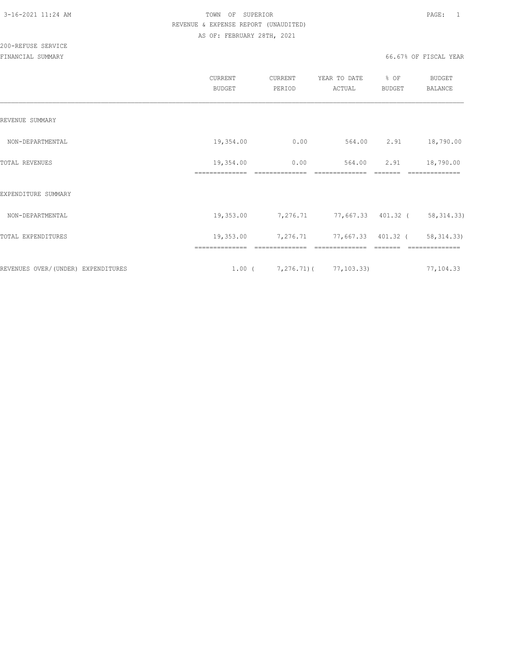|                                    | CURRENT<br><b>BUDGET</b>    | CURRENT<br>PERIOD                     | YEAR TO DATE<br>ACTUAL                 | % OF<br><b>BUDGET</b> | <b>BUDGET</b><br><b>BALANCE</b> |
|------------------------------------|-----------------------------|---------------------------------------|----------------------------------------|-----------------------|---------------------------------|
| REVENUE SUMMARY                    |                             |                                       |                                        |                       |                                 |
| NON-DEPARTMENTAL                   | 19,354.00                   | 0.00                                  | 564.00                                 | 2.91                  | 18,790.00                       |
| TOTAL REVENUES                     | 19,354.00<br>============== | 0.00                                  | 564.00                                 | 2.91                  | 18,790.00                       |
| EXPENDITURE SUMMARY                |                             |                                       |                                        |                       |                                 |
| NON-DEPARTMENTAL                   | 19,353.00                   |                                       | 7,276.71 77,667.33 401.32 ( 58,314.33) |                       |                                 |
| TOTAL EXPENDITURES                 | 19,353.00                   | 7,276.71                              | 77,667.33 401.32 (                     |                       | 58, 314.33)                     |
| REVENUES OVER/(UNDER) EXPENDITURES |                             | $1.00$ ( $7,276.71$ ) ( $77,103.33$ ) | ==============                         |                       | 77,104.33                       |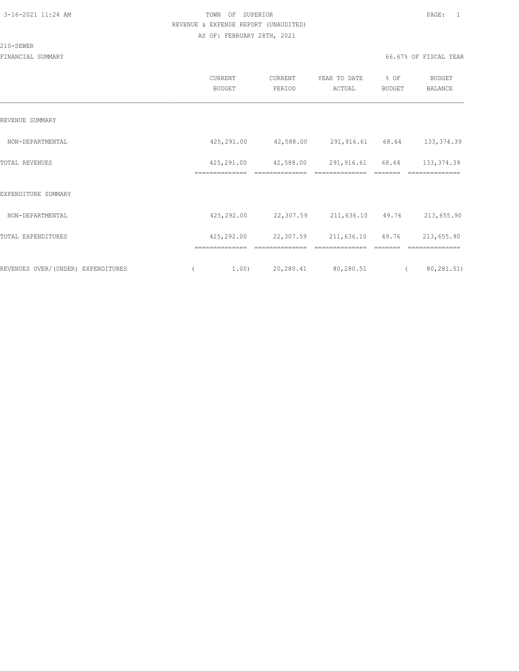#### 210-SEWER

|                                    | CURRENT<br><b>BUDGET</b>     | CURRENT<br>PERIOD           | YEAR TO DATE<br>ACTUAL             | % OF<br>BUDGET | <b>BUDGET</b><br><b>BALANCE</b> |
|------------------------------------|------------------------------|-----------------------------|------------------------------------|----------------|---------------------------------|
| REVENUE SUMMARY                    |                              |                             |                                    |                |                                 |
| NON-DEPARTMENTAL                   | 425,291.00                   | 42,588.00                   | 291,916.61                         | 68.64          | 133, 374.39                     |
| TOTAL REVENUES                     | 425,291.00<br>============== | 42,588.00<br>============== | 291,916.61 68.64<br>============== |                | 133, 374.39<br>==============   |
| EXPENDITURE SUMMARY                |                              |                             |                                    |                |                                 |
| NON-DEPARTMENTAL                   | 425,292.00                   | 22,307.59                   | 211,636.10                         | 49.76          | 213,655.90                      |
| TOTAL EXPENDITURES                 | 425,292.00                   | 22,307.59                   | 211,636.10 49.76                   |                | 213,655.90                      |
| REVENUES OVER/(UNDER) EXPENDITURES | ==============<br>1,00)      | 20,280.41                   | 80,280.51                          |                | 80,281.51)                      |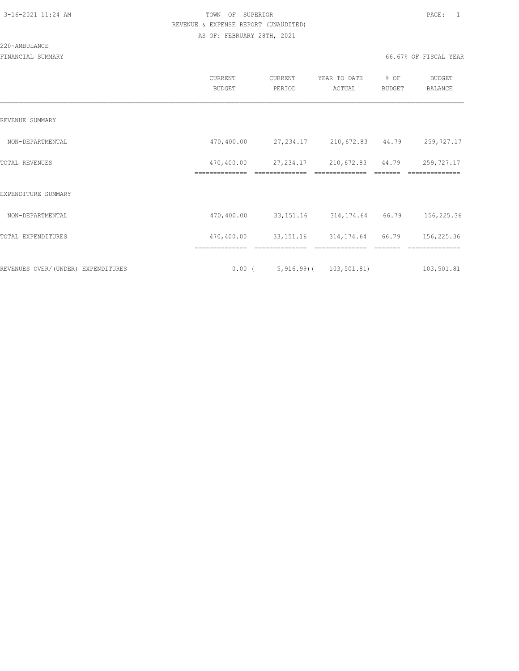#### 220-AMBULANCE

|                                    | CURRENT<br>BUDGET            | CURRENT<br>PERIOD                | YEAR TO DATE<br>ACTUAL              | % OF<br>BUDGET  | BUDGET<br>BALANCE            |
|------------------------------------|------------------------------|----------------------------------|-------------------------------------|-----------------|------------------------------|
| REVENUE SUMMARY                    |                              |                                  |                                     |                 |                              |
| NON-DEPARTMENTAL                   | 470,400.00                   | 27, 234.17 210, 672.83 44.79     |                                     |                 | 259,727.17                   |
| TOTAL REVENUES                     | 470,400.00<br>============== | 27, 234.17<br>---------------    | 210,672.83 44.79<br>--------------- | $- - - - - - -$ | 259,727.17<br>-------------- |
| EXPENDITURE SUMMARY                |                              |                                  |                                     |                 |                              |
| NON-DEPARTMENTAL                   | 470,400.00                   |                                  | 33, 151. 16 314, 174. 64 66. 79     |                 | 156,225.36                   |
| TOTAL EXPENDITURES                 | 470,400.00                   | 33, 151.16 314, 174.64 66.79     |                                     |                 | 156,225.36                   |
|                                    |                              |                                  |                                     |                 |                              |
| REVENUES OVER/(UNDER) EXPENDITURES |                              | $0.00$ ( 5,916.99) ( 103,501.81) |                                     |                 | 103,501.81                   |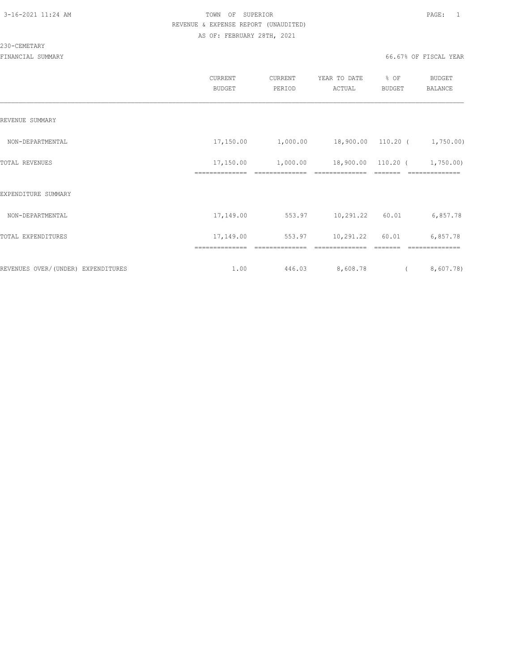#### 230-CEMETARY

|                                     | CURRENT<br><b>BUDGET</b> | <b>CURRENT</b><br>PERIOD | YEAR TO DATE<br>ACTUAL | % OF<br><b>BUDGET</b> | BUDGET<br>BALANCE           |
|-------------------------------------|--------------------------|--------------------------|------------------------|-----------------------|-----------------------------|
| REVENUE SUMMARY                     |                          |                          |                        |                       |                             |
| NON-DEPARTMENTAL                    | 17,150.00                | 1,000.00                 | 18,900.00 110.20 (     |                       | 1,750.00)                   |
| TOTAL REVENUES                      | 17,150.00                | 1,000.00                 | 18,900.00              | 110.20 (              | 1,750.00                    |
| EXPENDITURE SUMMARY                 |                          |                          |                        |                       |                             |
| NON-DEPARTMENTAL                    | 17,149.00                | 553.97                   | 10,291.22              | 60.01                 | 6,857.78                    |
| TOTAL EXPENDITURES                  | 17,149.00                | 553.97                   | 10,291.22              | 60.01                 | 6,857.78                    |
| REVENUES OVER/ (UNDER) EXPENDITURES | ==============<br>1.00   | ============<br>446.03   | 8,608.78               |                       | ==============<br>8,607.78) |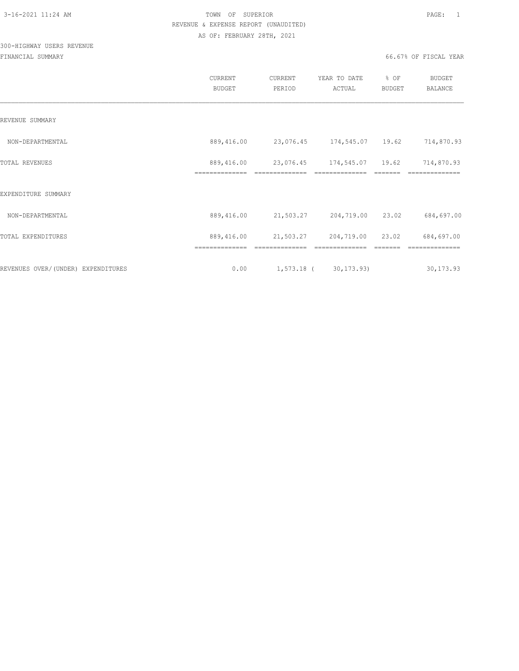# 300-HIGHWAY USERS REVENUE

|                                     | <b>CURRENT</b><br><b>BUDGET</b> | CURRENT<br>PERIOD | YEAR TO DATE<br>ACTUAL     | % OF<br><b>BUDGET</b> | <b>BUDGET</b><br><b>BALANCE</b> |
|-------------------------------------|---------------------------------|-------------------|----------------------------|-----------------------|---------------------------------|
| REVENUE SUMMARY                     |                                 |                   |                            |                       |                                 |
| NON-DEPARTMENTAL                    | 889,416.00                      |                   | 23,076.45 174,545.07 19.62 |                       | 714,870.93                      |
| TOTAL REVENUES                      | 889,416.00                      |                   | 23,076.45 174,545.07 19.62 |                       | 714,870.93                      |
| EXPENDITURE SUMMARY                 | ==============                  | ==============    | ==============             |                       | ==============                  |
| NON-DEPARTMENTAL                    | 889,416.00                      | 21,503.27         | 204,719.00                 | 23.02                 | 684,697.00                      |
| TOTAL EXPENDITURES                  | 889,416.00                      | 21,503.27         | 204,719.00                 | 23.02                 | 684,697.00                      |
|                                     | ==============                  |                   |                            |                       |                                 |
| REVENUES OVER/ (UNDER) EXPENDITURES | 0.00                            |                   | 1,573.18 (30,173.93)       |                       | 30, 173.93                      |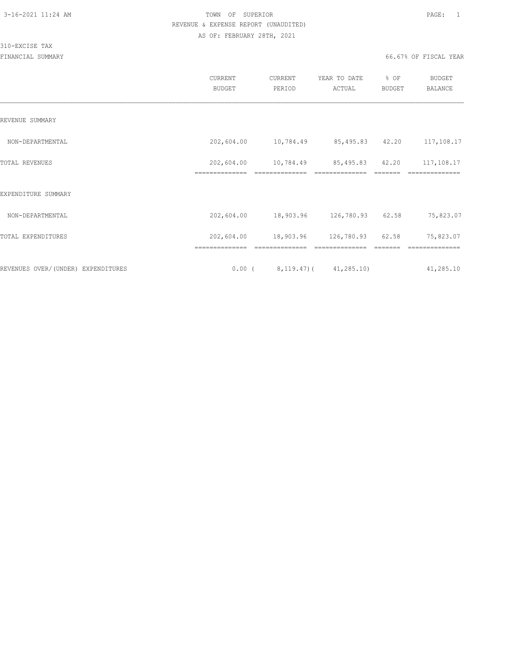#### 310-EXCISE TAX

|                                    | CURRENT<br><b>BUDGET</b> | CURRENT<br>PERIOD | YEAR TO DATE<br>ACTUAL                | % OF<br>BUDGET | <b>BUDGET</b><br><b>BALANCE</b> |
|------------------------------------|--------------------------|-------------------|---------------------------------------|----------------|---------------------------------|
| REVENUE SUMMARY                    |                          |                   |                                       |                |                                 |
| NON-DEPARTMENTAL                   | 202,604.00               |                   | 10,784.49 85,495.83 42.20             |                | 117,108.17                      |
| TOTAL REVENUES                     | 202,604.00               | 10,784.49         | 85,495.83 42.20                       |                | 117,108.17                      |
| EXPENDITURE SUMMARY                | ==============           | ==============    | ==============                        |                | ==============                  |
| NON-DEPARTMENTAL                   | 202,604.00               |                   | 18,903.96 126,780.93                  | 62.58          | 75,823.07                       |
| TOTAL EXPENDITURES                 | 202,604.00               |                   | 18,903.96 126,780.93 62.58            |                | 75,823.07                       |
|                                    | ==============           |                   |                                       |                |                                 |
| REVENUES OVER/(UNDER) EXPENDITURES |                          |                   | $0.00$ ( $8,119.47$ ) ( $41,285.10$ ) |                | 41,285.10                       |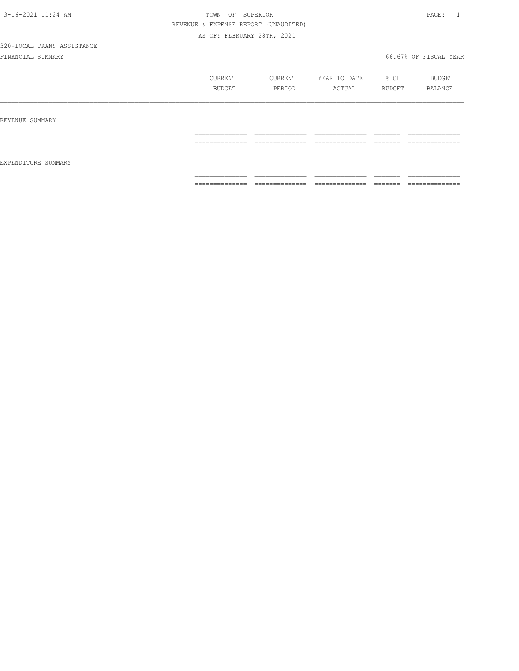|                     | CURRENT<br>BUDGET                                                                                                                                                                                                                                                                                                                                                                                                                                                                            | CURRENT<br>PERIOD                 | YEAR TO DATE<br>ACTUAL                                                                                                                                                                                                                                                                                                                                                                                                                                                                       | % OF<br>BUDGET                                                                                                                                                                                                                                                                                                                                                                                                                                         | BUDGET<br>BALANCE                                                                                                                                                                                                                                                                                                                                                                                                                                                                            |
|---------------------|----------------------------------------------------------------------------------------------------------------------------------------------------------------------------------------------------------------------------------------------------------------------------------------------------------------------------------------------------------------------------------------------------------------------------------------------------------------------------------------------|-----------------------------------|----------------------------------------------------------------------------------------------------------------------------------------------------------------------------------------------------------------------------------------------------------------------------------------------------------------------------------------------------------------------------------------------------------------------------------------------------------------------------------------------|--------------------------------------------------------------------------------------------------------------------------------------------------------------------------------------------------------------------------------------------------------------------------------------------------------------------------------------------------------------------------------------------------------------------------------------------------------|----------------------------------------------------------------------------------------------------------------------------------------------------------------------------------------------------------------------------------------------------------------------------------------------------------------------------------------------------------------------------------------------------------------------------------------------------------------------------------------------|
| REVENUE SUMMARY     |                                                                                                                                                                                                                                                                                                                                                                                                                                                                                              |                                   |                                                                                                                                                                                                                                                                                                                                                                                                                                                                                              |                                                                                                                                                                                                                                                                                                                                                                                                                                                        |                                                                                                                                                                                                                                                                                                                                                                                                                                                                                              |
| EXPENDITURE SUMMARY | ______________<br>---------------                                                                                                                                                                                                                                                                                                                                                                                                                                                            | ______________<br>-------------   | ______________<br>-------------                                                                                                                                                                                                                                                                                                                                                                                                                                                              | --------<br>------                                                                                                                                                                                                                                                                                                                                                                                                                                     | ______________<br>--------------                                                                                                                                                                                                                                                                                                                                                                                                                                                             |
|                     | $\begin{array}{c} \multicolumn{2}{c} {\textbf{1}} & \multicolumn{2}{c} {\textbf{2}} & \multicolumn{2}{c} {\textbf{3}} & \multicolumn{2}{c} {\textbf{4}} \\ \multicolumn{2}{c} {\textbf{2}} & \multicolumn{2}{c} {\textbf{3}} & \multicolumn{2}{c} {\textbf{4}} & \multicolumn{2}{c} {\textbf{5}} & \multicolumn{2}{c} {\textbf{6}} \\ \multicolumn{2}{c} {\textbf{4}} & \multicolumn{2}{c} {\textbf{5}} & \multicolumn{2}{c} {\textbf{6}} & \multicolumn{2}{c} {\textbf{6}} & \multicolumn{$ | ______________<br>--------------- | $\begin{array}{c} \multicolumn{2}{c} {\textbf{1}} & \multicolumn{2}{c} {\textbf{2}} & \multicolumn{2}{c} {\textbf{3}} & \multicolumn{2}{c} {\textbf{4}} \\ \multicolumn{2}{c} {\textbf{5}} & \multicolumn{2}{c} {\textbf{6}} & \multicolumn{2}{c} {\textbf{7}} & \multicolumn{2}{c} {\textbf{8}} & \multicolumn{2}{c} {\textbf{9}} \\ \multicolumn{2}{c} {\textbf{1}} & \multicolumn{2}{c} {\textbf{1}} & \multicolumn{2}{c} {\textbf{1}} & \multicolumn{2}{c} {\textbf{1}} & \multicolumn{$ | $\begin{tabular}{ll} \multicolumn{2}{c}{\textbf{2.5}} & \multicolumn{2}{c}{\textbf{2.5}} & \multicolumn{2}{c}{\textbf{2.5}} \\ \multicolumn{2}{c}{\textbf{2.5}} & \multicolumn{2}{c}{\textbf{2.5}} & \multicolumn{2}{c}{\textbf{2.5}} \\ \multicolumn{2}{c}{\textbf{3.5}} & \multicolumn{2}{c}{\textbf{4.5}} & \multicolumn{2}{c}{\textbf{5.5}} \\ \multicolumn{2}{c}{\textbf{5.5}} & \multicolumn{2}{c}{\textbf{6.5}} & \multicolumn{2}{c}{\textbf{7$ | $\begin{array}{c} \multicolumn{2}{c} {\textbf{1}} & \multicolumn{2}{c} {\textbf{2}} & \multicolumn{2}{c} {\textbf{3}} & \multicolumn{2}{c} {\textbf{4}} \\ \multicolumn{2}{c} {\textbf{2}} & \multicolumn{2}{c} {\textbf{3}} & \multicolumn{2}{c} {\textbf{4}} & \multicolumn{2}{c} {\textbf{5}} & \multicolumn{2}{c} {\textbf{6}} \\ \multicolumn{2}{c} {\textbf{4}} & \multicolumn{2}{c} {\textbf{5}} & \multicolumn{2}{c} {\textbf{6}} & \multicolumn{2}{c} {\textbf{6}} & \multicolumn{$ |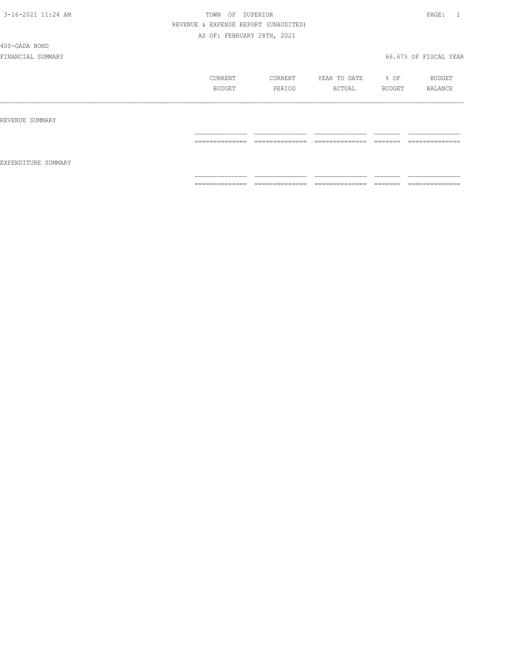400-GADA BOND

|                     | CURRENT<br>BUDGET                                                                                                                                                                                                                                                                                                                                                                                                                                                                            | CURRENT<br>PERIOD                 | YEAR TO DATE<br>ACTUAL                                                                                                                                                                                                                                                                                                                                                                                                                                                                       | % OF<br>BUDGET                                                                                                                                                                                                                                                                                                                                                                                                                                                                                                                                                    | BUDGET<br>BALANCE                 |
|---------------------|----------------------------------------------------------------------------------------------------------------------------------------------------------------------------------------------------------------------------------------------------------------------------------------------------------------------------------------------------------------------------------------------------------------------------------------------------------------------------------------------|-----------------------------------|----------------------------------------------------------------------------------------------------------------------------------------------------------------------------------------------------------------------------------------------------------------------------------------------------------------------------------------------------------------------------------------------------------------------------------------------------------------------------------------------|-------------------------------------------------------------------------------------------------------------------------------------------------------------------------------------------------------------------------------------------------------------------------------------------------------------------------------------------------------------------------------------------------------------------------------------------------------------------------------------------------------------------------------------------------------------------|-----------------------------------|
| REVENUE SUMMARY     |                                                                                                                                                                                                                                                                                                                                                                                                                                                                                              |                                   |                                                                                                                                                                                                                                                                                                                                                                                                                                                                                              |                                                                                                                                                                                                                                                                                                                                                                                                                                                                                                                                                                   |                                   |
|                     | ______________<br>---------------                                                                                                                                                                                                                                                                                                                                                                                                                                                            | ______________<br>.               | ______________<br>______________                                                                                                                                                                                                                                                                                                                                                                                                                                                             | --------<br>-------                                                                                                                                                                                                                                                                                                                                                                                                                                                                                                                                               | ______________<br>--------------  |
| EXPENDITURE SUMMARY |                                                                                                                                                                                                                                                                                                                                                                                                                                                                                              |                                   |                                                                                                                                                                                                                                                                                                                                                                                                                                                                                              |                                                                                                                                                                                                                                                                                                                                                                                                                                                                                                                                                                   |                                   |
|                     | $\begin{array}{c} \multicolumn{2}{c} {\textbf{1}} & \multicolumn{2}{c} {\textbf{2}} & \multicolumn{2}{c} {\textbf{3}} & \multicolumn{2}{c} {\textbf{4}} \\ \multicolumn{2}{c} {\textbf{5}} & \multicolumn{2}{c} {\textbf{6}} & \multicolumn{2}{c} {\textbf{7}} & \multicolumn{2}{c} {\textbf{8}} & \multicolumn{2}{c} {\textbf{9}} \\ \multicolumn{2}{c} {\textbf{1}} & \multicolumn{2}{c} {\textbf{1}} & \multicolumn{2}{c} {\textbf{1}} & \multicolumn{2}{c} {\textbf{1}} & \multicolumn{$ | ______________<br>_______________ | $\begin{array}{c} \multicolumn{2}{c} {\textbf{1}} & \multicolumn{2}{c} {\textbf{2}} & \multicolumn{2}{c} {\textbf{3}} & \multicolumn{2}{c} {\textbf{4}} \\ \multicolumn{2}{c} {\textbf{5}} & \multicolumn{2}{c} {\textbf{6}} & \multicolumn{2}{c} {\textbf{7}} & \multicolumn{2}{c} {\textbf{8}} & \multicolumn{2}{c} {\textbf{9}} \\ \multicolumn{2}{c} {\textbf{1}} & \multicolumn{2}{c} {\textbf{1}} & \multicolumn{2}{c} {\textbf{1}} & \multicolumn{2}{c} {\textbf{1}} & \multicolumn{$ | $\begin{array}{c} \begin{array}{c} \begin{array}{c} \begin{array}{c} \begin{array}{c} \end{array}\\ \end{array}\\ \end{array} \end{array} \end{array} \end{array} \end{array} \end{array} \end{array} \begin{array}{c} \begin{array}{c} \begin{array}{c} \begin{array}{c} \end{array}\\ \end{array} \end{array} \end{array} \end{array} \begin{array}{c} \begin{array}{c} \begin{array}{c} \end{array}\\ \end{array} \end{array} \end{array} \begin{array}{c} \begin{array}{c} \begin{array}{c} \end{array}\\ \end{array} \end{array} \end{array} \begin{array}{$ | ______________<br>--------------- |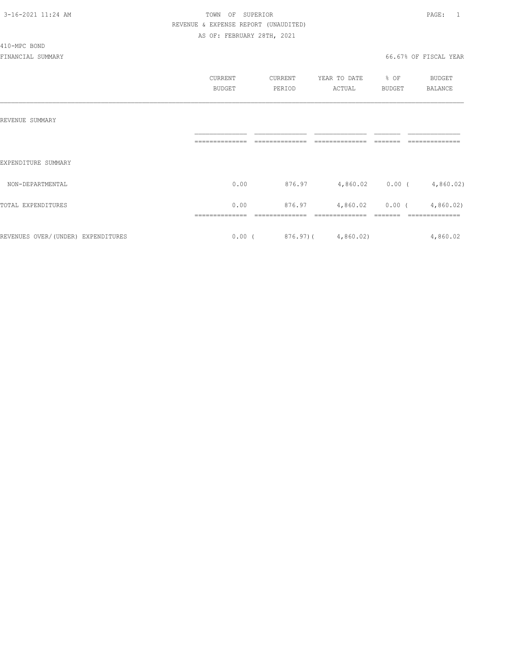#### 410-MPC BOND

|                                    | CURRENT<br><b>BUDGET</b> | CURRENT<br>PERIOD | YEAR TO DATE<br>ACTUAL  | % OF<br><b>BUDGET</b> | <b>BUDGET</b><br><b>BALANCE</b> |
|------------------------------------|--------------------------|-------------------|-------------------------|-----------------------|---------------------------------|
| REVENUE SUMMARY                    |                          |                   |                         |                       |                                 |
| EXPENDITURE SUMMARY                |                          |                   |                         |                       |                                 |
| NON-DEPARTMENTAL                   | 0.00                     | 876.97            | 4,860.02 0.00 (         |                       | 4,860.02                        |
| TOTAL EXPENDITURES                 | 0.00                     | 876.97            | 4,860.02                | $0.00$ (              | 4,860.02                        |
| REVENUES OVER/(UNDER) EXPENDITURES | $0.00$ (                 |                   | $876.97$ ( $4,860.02$ ) |                       | 4,860.02                        |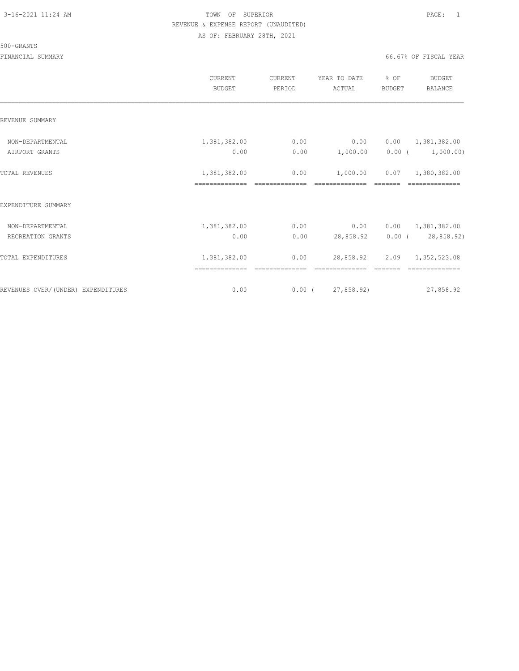#### 500-GRANTS

|                                    | CURRENT<br><b>BUDGET</b>       | CURRENT<br>PERIOD         | YEAR TO DATE<br>ACTUAL                                                                                                                                                                                                                                                                                                                                                                                                                                                                                    | % OF<br><b>BUDGET</b>           | <b>BUDGET</b><br>BALANCE       |
|------------------------------------|--------------------------------|---------------------------|-----------------------------------------------------------------------------------------------------------------------------------------------------------------------------------------------------------------------------------------------------------------------------------------------------------------------------------------------------------------------------------------------------------------------------------------------------------------------------------------------------------|---------------------------------|--------------------------------|
| REVENUE SUMMARY                    |                                |                           |                                                                                                                                                                                                                                                                                                                                                                                                                                                                                                           |                                 |                                |
| NON-DEPARTMENTAL                   | 1,381,382.00                   | 0.00                      | 0.00                                                                                                                                                                                                                                                                                                                                                                                                                                                                                                      | 0.00                            | 1,381,382.00                   |
| AIRPORT GRANTS                     | 0.00                           | 0.00                      | 1,000.00                                                                                                                                                                                                                                                                                                                                                                                                                                                                                                  | $0.00$ (                        | 1,000.00)                      |
| TOTAL REVENUES                     | 1,381,382.00<br>============== | 0.00<br>$-22222222222222$ | 1,000.00<br>==============                                                                                                                                                                                                                                                                                                                                                                                                                                                                                | 0.07<br>$=$ $=$ $=$ $=$ $=$ $=$ | 1,380,382.00<br>============== |
| EXPENDITURE SUMMARY                |                                |                           |                                                                                                                                                                                                                                                                                                                                                                                                                                                                                                           |                                 |                                |
| NON-DEPARTMENTAL                   | 1,381,382.00                   | 0.00                      | 0.00                                                                                                                                                                                                                                                                                                                                                                                                                                                                                                      |                                 | $0.00 \qquad 1,381,382.00$     |
| RECREATION GRANTS                  | 0.00                           | 0.00                      | 28,858.92                                                                                                                                                                                                                                                                                                                                                                                                                                                                                                 |                                 | $0.00$ ( $28,858.92$ )         |
| TOTAL EXPENDITURES                 | 1,381,382.00<br>============== | 0.00<br>$-22222222222222$ | 28,858.92<br>$\begin{array}{c} \multicolumn{2}{c} {\textbf{1}} & \multicolumn{2}{c} {\textbf{2}} & \multicolumn{2}{c} {\textbf{3}} & \multicolumn{2}{c} {\textbf{4}} \\ \multicolumn{2}{c} {\textbf{5}} & \multicolumn{2}{c} {\textbf{6}} & \multicolumn{2}{c} {\textbf{7}} & \multicolumn{2}{c} {\textbf{8}} & \multicolumn{2}{c} {\textbf{9}} \\ \multicolumn{2}{c} {\textbf{1}} & \multicolumn{2}{c} {\textbf{1}} & \multicolumn{2}{c} {\textbf{1}} & \multicolumn{2}{c} {\textbf{1}} & \multicolumn{$ | 2.09<br>$=$ $=$ $=$ $=$ $=$ $=$ | 1,352,523.08<br>============== |
| REVENUES OVER/(UNDER) EXPENDITURES | 0.00                           |                           | $0.00$ ( 27,858.92)                                                                                                                                                                                                                                                                                                                                                                                                                                                                                       |                                 | 27,858.92                      |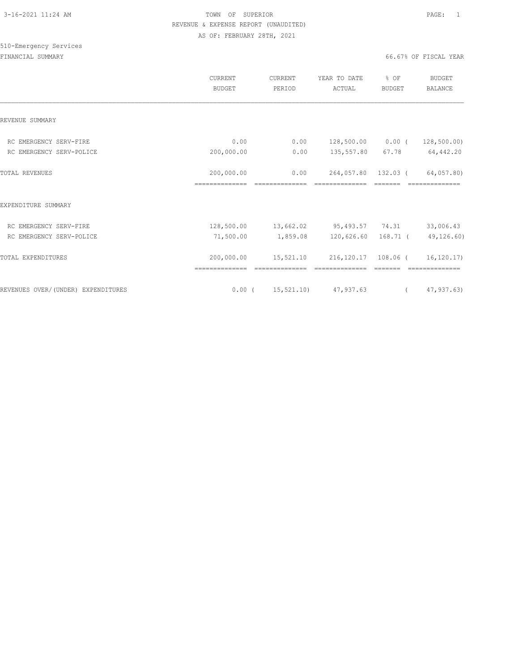|                                    | CURRENT<br>BUDGET            | CURRENT<br>PERIOD | YEAR TO DATE<br>ACTUAL                             | % OF<br><b>BUDGET</b> | <b>BUDGET</b><br>BALANCE |
|------------------------------------|------------------------------|-------------------|----------------------------------------------------|-----------------------|--------------------------|
| REVENUE SUMMARY                    |                              |                   |                                                    |                       |                          |
| RC EMERGENCY SERV-FIRE             | 0.00                         | 0.00              | 128,500.00 0.00 (                                  |                       | 128, 500.00)             |
| RC EMERGENCY SERV-POLICE           | 200,000.00                   | 0.00              | 135,557.80 67.78 64,442.20                         |                       |                          |
| TOTAL REVENUES                     | 200,000.00<br>============== | 0.00              | 264,057.80 132.03 (<br>==============              |                       | 64,057.80)               |
| EXPENDITURE SUMMARY                |                              |                   |                                                    |                       |                          |
| RC EMERGENCY SERV-FIRE             |                              |                   | 128,500.00  13,662.02  95,493.57  74.31            |                       | 33,006.43                |
| RC EMERGENCY SERV-POLICE           | 71,500.00                    |                   | 1,859.08 120,626.60 168.71 (                       |                       | 49,126.60)               |
| TOTAL EXPENDITURES                 | 200,000.00                   | 15,521.10         | 216,120.17 108.06 (                                |                       | 16, 120.17               |
| REVENUES OVER/(UNDER) EXPENDITURES |                              |                   | $0.00$ ( $15,521.10$ ) $47,937.63$ ( $47,937.63$ ) |                       |                          |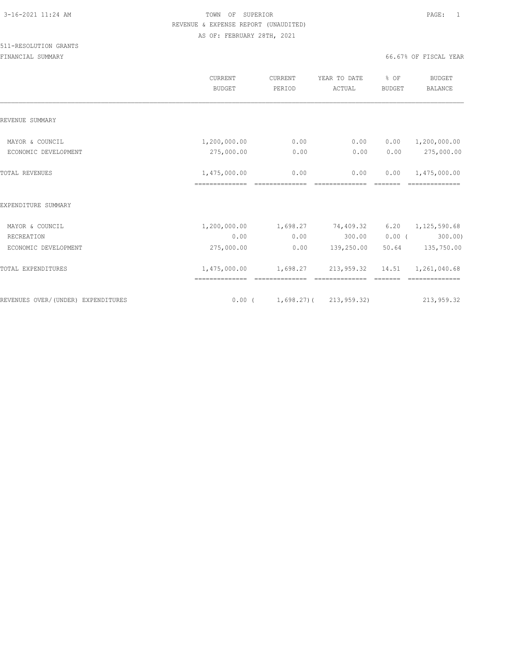|                                         | <b>CURRENT</b><br><b>BUDGET</b> | CURRENT<br>PERIOD                | YEAR TO DATE<br>ACTUAL | % OF<br><b>BUDGET</b>           | <b>BUDGET</b><br><b>BALANCE</b> |
|-----------------------------------------|---------------------------------|----------------------------------|------------------------|---------------------------------|---------------------------------|
| REVENUE SUMMARY                         |                                 |                                  |                        |                                 |                                 |
| MAYOR & COUNCIL<br>ECONOMIC DEVELOPMENT | 1,200,000.00<br>275,000.00      | 0.00<br>0.00                     | 0.00<br>0.00           | 0.00<br>0.00                    | 1,200,000.00<br>275,000.00      |
|                                         |                                 |                                  |                        |                                 |                                 |
| <b>TOTAL REVENUES</b>                   | 1,475,000.00<br>==============  | 0.00<br>==============           | 0.00<br>============== | 0.00<br>$=$ $=$ $=$ $=$ $=$ $=$ | 1,475,000.00<br>==============  |
| EXPENDITURE SUMMARY                     |                                 |                                  |                        |                                 |                                 |
| MAYOR & COUNCIL                         | 1,200,000.00                    | 1,698.27                         | 74,409.32              |                                 | $6.20 \qquad 1,125,590.68$      |
| RECREATION                              | 0.00                            | 0.00                             | 300.00                 | $0.00$ (                        | 300.00)                         |
| ECONOMIC DEVELOPMENT                    | 275,000.00                      | 0.00                             | 139,250.00             | 50.64                           | 135,750.00                      |
| TOTAL EXPENDITURES                      | 1,475,000.00                    | 1,698.27                         | 213,959.32 14.51       |                                 | 1,261,040.68                    |
| REVENUES OVER/(UNDER) EXPENDITURES      |                                 | $0.00$ ( 1,698.27) ( 213,959.32) |                        |                                 | 213,959.32                      |
|                                         |                                 |                                  |                        |                                 |                                 |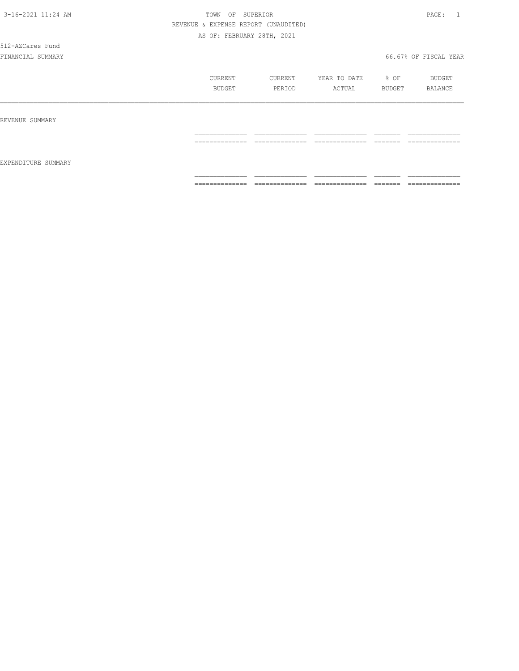512-AZCares Fund

|                     | CURRENT<br><b>BUDGET</b>                                                                                                                                                                                                                                                                                                                                                                                                                                                               | CURRENT<br>PERIOD                 | YEAR TO DATE<br>ACTUAL             | % OF<br>BUDGET       | BUDGET<br>BALANCE                 |
|---------------------|----------------------------------------------------------------------------------------------------------------------------------------------------------------------------------------------------------------------------------------------------------------------------------------------------------------------------------------------------------------------------------------------------------------------------------------------------------------------------------------|-----------------------------------|------------------------------------|----------------------|-----------------------------------|
| REVENUE SUMMARY     |                                                                                                                                                                                                                                                                                                                                                                                                                                                                                        |                                   |                                    |                      |                                   |
| EXPENDITURE SUMMARY | $\begin{array}{cccccccccc} \multicolumn{2}{c}{} & \multicolumn{2}{c}{} & \multicolumn{2}{c}{} & \multicolumn{2}{c}{} & \multicolumn{2}{c}{} & \multicolumn{2}{c}{} & \multicolumn{2}{c}{} & \multicolumn{2}{c}{} & \multicolumn{2}{c}{} & \multicolumn{2}{c}{} & \multicolumn{2}{c}{} & \multicolumn{2}{c}{} & \multicolumn{2}{c}{} & \multicolumn{2}{c}{} & \multicolumn{2}{c}{} & \multicolumn{2}{c}{} & \multicolumn{2}{c}{} & \multicolumn{2}{c}{} & \multicolumn{2}{c}{} & \mult$ | ______________<br>--------------- | ==============                     | ________<br>-------  | ______________<br>--------------- |
|                     | --------------                                                                                                                                                                                                                                                                                                                                                                                                                                                                         | --------------                    | ---------------<br>_______________ | --------<br>________ | --------------<br>_______________ |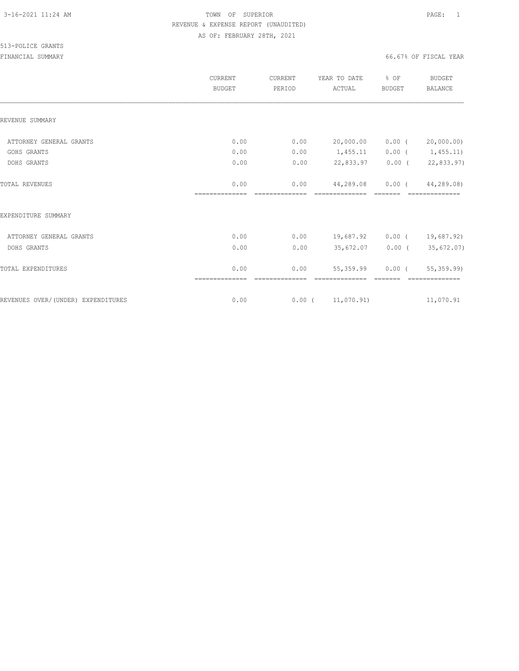|                                    | <b>CURRENT</b><br><b>BUDGET</b> | CURRENT<br>PERIOD      | YEAR TO DATE<br>ACTUAL      | % OF<br><b>BUDGET</b> | <b>BUDGET</b><br><b>BALANCE</b> |
|------------------------------------|---------------------------------|------------------------|-----------------------------|-----------------------|---------------------------------|
| REVENUE SUMMARY                    |                                 |                        |                             |                       |                                 |
| ATTORNEY GENERAL GRANTS            | 0.00                            | 0.00                   | 20,000.00                   | $0.00$ (              | 20,000.00)                      |
| GOHS GRANTS                        | 0.00                            | 0.00                   | 1,455.11                    | $0.00$ (              | 1,455.11)                       |
| DOHS GRANTS                        | 0.00                            | 0.00                   | 22,833.97                   | $0.00$ (              | 22,833.97)                      |
| <b>TOTAL REVENUES</b>              | 0.00<br>--------------          | 0.00<br>-------------- | 44,289.08<br>-------------- | $0.00$ (              | 44,289.08)<br>==============    |
| EXPENDITURE SUMMARY                |                                 |                        |                             |                       |                                 |
| ATTORNEY GENERAL GRANTS            | 0.00                            | 0.00                   | 19,687.92                   | $0.00$ (              | 19,687.92)                      |
| DOHS GRANTS                        | 0.00                            | 0.00                   | 35,672.07                   | $0.00$ (              | 35,672.07)                      |
| TOTAL EXPENDITURES                 | 0.00                            | 0.00<br>------------   | 55, 359.99                  | $0.00$ (              | 55,359.99)<br>==============    |
| REVENUES OVER/(UNDER) EXPENDITURES | 0.00                            |                        | $0.00$ ( $11,070.91$ )      |                       | 11,070.91                       |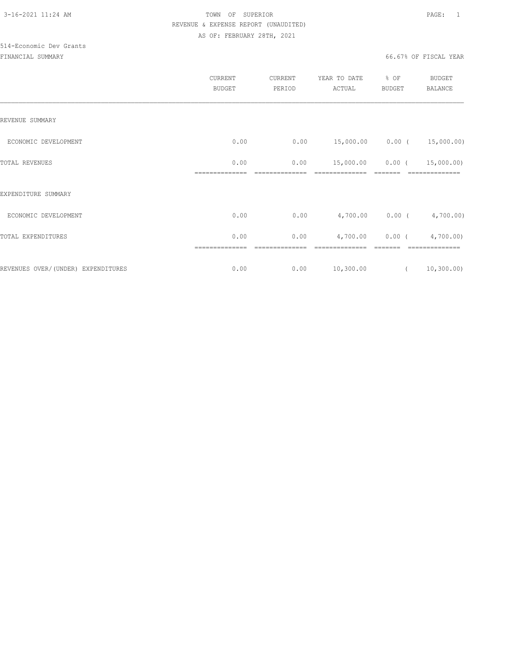# 514-Economic Dev Grants

|                                     | CURRENT<br><b>BUDGET</b> | CURRENT<br>PERIOD | YEAR TO DATE<br>ACTUAL | % OF<br>BUDGET | <b>BUDGET</b><br>BALANCE |
|-------------------------------------|--------------------------|-------------------|------------------------|----------------|--------------------------|
| REVENUE SUMMARY                     |                          |                   |                        |                |                          |
| ECONOMIC DEVELOPMENT                | 0.00                     | 0.00              |                        |                |                          |
| TOTAL REVENUES                      | 0.00                     | 0.00              | 15,000.00              |                | $0.00$ ( $15,000.00$ )   |
| EXPENDITURE SUMMARY                 |                          |                   |                        |                |                          |
| ECONOMIC DEVELOPMENT                | 0.00                     | 0.00              |                        |                | 4,700.00 0.00 (4,700.00) |
| TOTAL EXPENDITURES                  | 0.00                     | 0.00              | 4,700.00               |                | $0.00$ ( $4,700.00$ )    |
| REVENUES OVER/ (UNDER) EXPENDITURES | 0.00                     | 0.00              |                        |                | 10, 300.00)              |
|                                     |                          |                   | 10,300.00              | $\overline{a}$ |                          |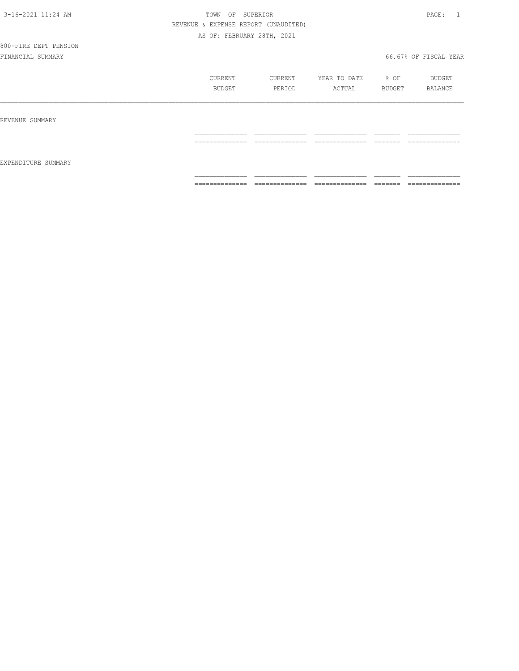# 800-FIRE DEPT PENSION

|                     | CURRENT        | CURRENT             | YEAR TO DATE        | % OF     | BUDGET         |
|---------------------|----------------|---------------------|---------------------|----------|----------------|
|                     | BUDGET         | PERIOD              | ACTUAL              | BUDGET   | BALANCE        |
| REVENUE SUMMARY     |                |                     |                     |          |                |
| EXPENDITURE SUMMARY | ============== | ______________<br>. | ______________<br>. | =======  | -------------- |
|                     | -------------- | --------------      | ---------------     | -------- | -------------- |
|                     | .              | _______________     | _______________     | ________ | ______________ |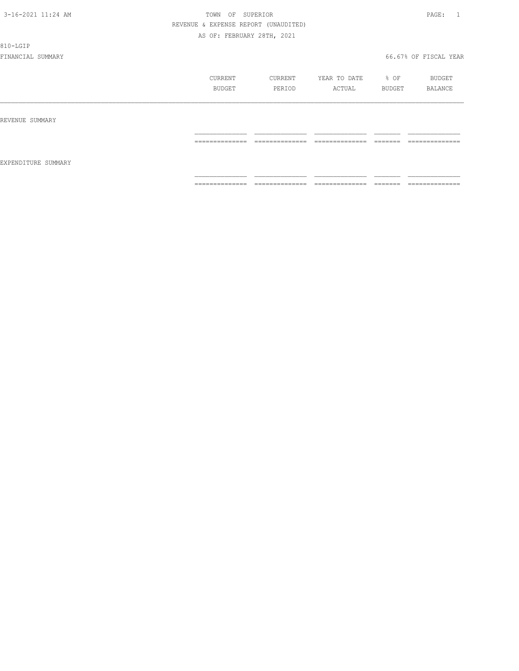810-LGIP

|                     | CURRENT<br>BUDGET | CURRENT<br>PERIOD | YEAR TO DATE<br>ACTUAL | % OF<br>BUDGET      | BUDGET<br>BALANCE |
|---------------------|-------------------|-------------------|------------------------|---------------------|-------------------|
| REVENUE SUMMARY     | --------------    | --------------    | ---------------        | -------             | --------------    |
| EXPENDITURE SUMMARY | .                 | .                 | .                      | ======              | -------------     |
|                     | ==============    | ==============    | ==============         | ________<br>------- | ==============    |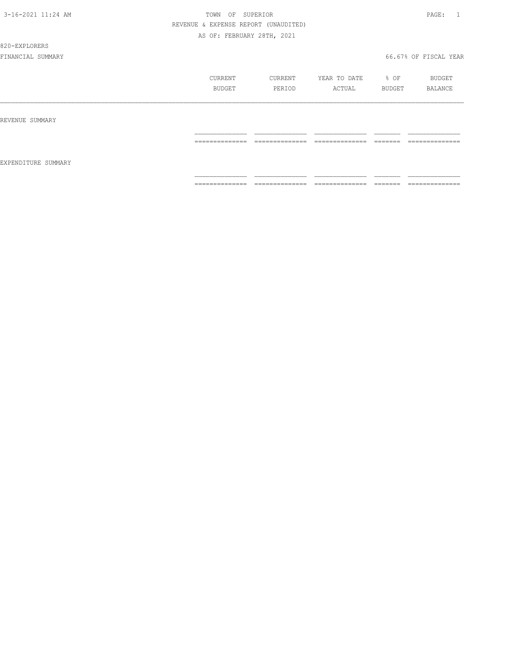#### 820-EXPLORERS

|                     | CURRENT<br>BUDGET | CURRENT<br>PERIOD | YEAR TO DATE<br>ACTUAL | % OF<br>BUDGET | BUDGET<br>BALANCE |
|---------------------|-------------------|-------------------|------------------------|----------------|-------------------|
| REVENUE SUMMARY     |                   |                   |                        |                |                   |
| EXPENDITURE SUMMARY | ==============    | ==============    | ==============         |                | --------------    |
|                     | ==============    | ==============    | ==============         |                | --------------    |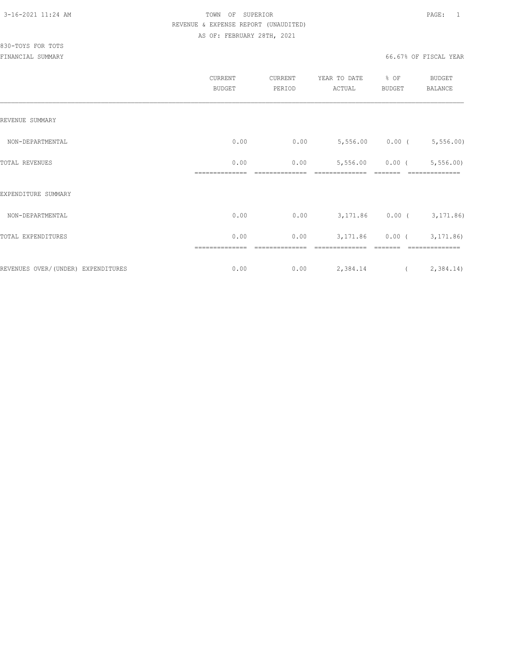|                                    | CURRENT<br><b>BUDGET</b> | CURRENT<br>PERIOD | YEAR TO DATE<br>ACTUAL   | % OF<br>BUDGET  | BUDGET<br>BALANCE |
|------------------------------------|--------------------------|-------------------|--------------------------|-----------------|-------------------|
| REVENUE SUMMARY                    |                          |                   |                          |                 |                   |
| NON-DEPARTMENTAL                   | 0.00                     | 0.00              | 5,556.00 0.00 (5,556.00) |                 |                   |
| TOTAL REVENUES                     | 0.00                     | 0.00              |                          | 5,556.00 0.00 ( | 5,556.00          |
| EXPENDITURE SUMMARY                |                          |                   |                          |                 |                   |
| NON-DEPARTMENTAL                   | 0.00                     | 0.00              | 3,171.86 0.00 (3,171.86) |                 |                   |
| TOTAL EXPENDITURES                 | 0.00                     | 0.00              |                          | 3,171.86 0.00 ( | 3, 171.86)        |
| REVENUES OVER/(UNDER) EXPENDITURES | 0.00                     | 0.00              | 2,384.14                 |                 | (2, 384.14)       |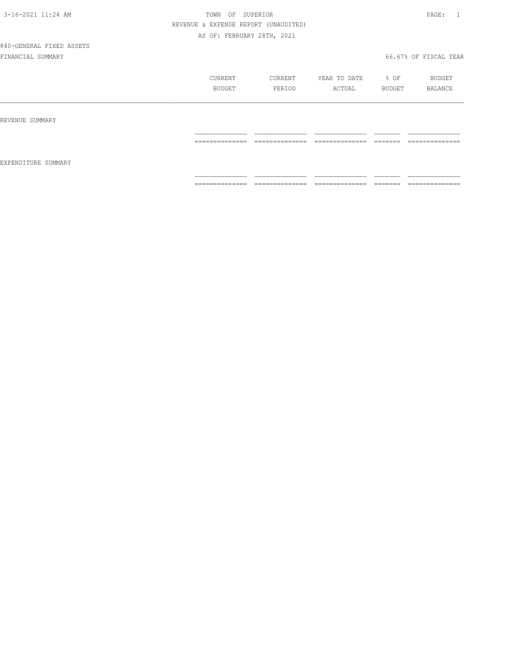# 840-GENERAL FIXED ASSETS

|                     | CURRENT<br>BUDGET | CURRENT<br>PERIOD | YEAR TO DATE<br>ACTUAL | % OF<br>BUDGET | BUDGET<br>BALANCE |
|---------------------|-------------------|-------------------|------------------------|----------------|-------------------|
| REVENUE SUMMARY     |                   |                   |                        |                |                   |
| EXPENDITURE SUMMARY | ==============    | ==============    | ==============         |                | ==============    |
|                     | ==============    | ==============    | ==============         | <b>EEEEEE</b>  | ==============    |